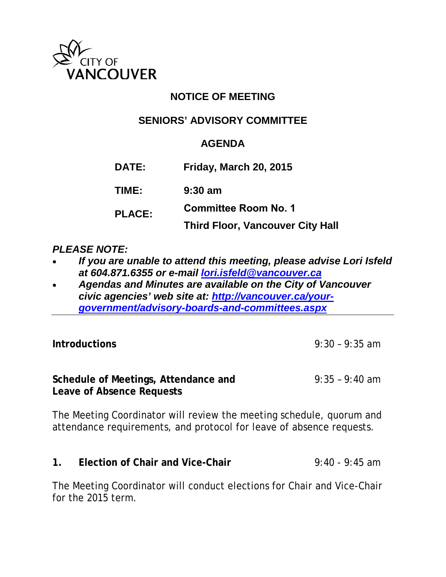

# **NOTICE OF MEETING**

# **SENIORS' ADVISORY COMMITTEE**

# **AGENDA**

**DATE: Friday, March 20, 2015**

**TIME: 9:30 am**

**PLACE: Committee Room No. 1**

**Third Floor, Vancouver City Hall** 

#### *PLEASE NOTE:*

- *If you are unable to attend this meeting, please advise Lori Isfeld at 604.871.6355 or e-mail [lori.isfeld@vancouver.ca](mailto:lori.isfeld@vancouver.ca)*
- *Agendas and Minutes are available on the City of Vancouver civic agencies' web site at: [http://vancouver.ca/your](http://vancouver.ca/your-government/advisory-boards-and-committees.aspx)[government/advisory-boards-and-committees.aspx](http://vancouver.ca/your-government/advisory-boards-and-committees.aspx)*

| <b>Introductions</b>                                              | $9:30 - 9:35$ am |
|-------------------------------------------------------------------|------------------|
| Schedule of Meetings, Attendance and<br>Leave of Absence Requests | $9:35 - 9:40$ am |

The Meeting Coordinator will review the meeting schedule, quorum and attendance requirements, and protocol for leave of absence requests.

**1. Election of Chair and Vice-Chair** 9:40 - 9:45 am

The Meeting Coordinator will conduct elections for Chair and Vice-Chair for the 2015 term.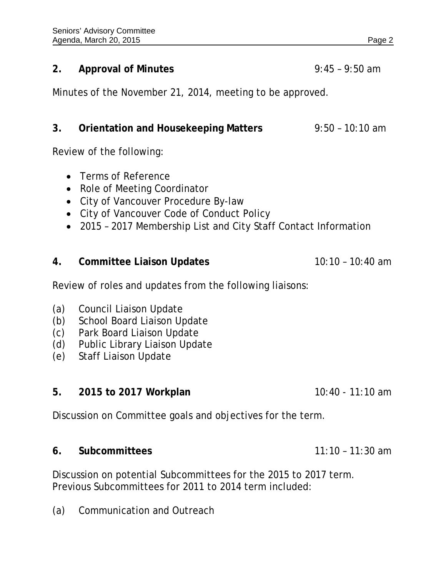#### **2. Approval of Minutes** 9:45 – 9:50 am

Minutes of the November 21, 2014, meeting to be approved.

# **3. Orientation and Housekeeping Matters** 9:50 – 10:10 am

Review of the following:

- Terms of Reference
- Role of Meeting Coordinator
- City of Vancouver Procedure By-law
- City of Vancouver Code of Conduct Policy
- 2015 2017 Membership List and City Staff Contact Information

#### **4. Committee Liaison Updates** 10:10 – 10:40 am

Review of roles and updates from the following liaisons:

- (a) Council Liaison Update
- (b) School Board Liaison Update
- (c) Park Board Liaison Update
- (d) Public Library Liaison Update
- (e) Staff Liaison Update

#### **5. 2015 to 2017 Workplan** 10:40 - 11:10 am

Discussion on Committee goals and objectives for the term.

**6. Subcommittees** 11:10 – 11:30 am

Discussion on potential Subcommittees for the 2015 to 2017 term. Previous Subcommittees for 2011 to 2014 term included:

(a) Communication and Outreach